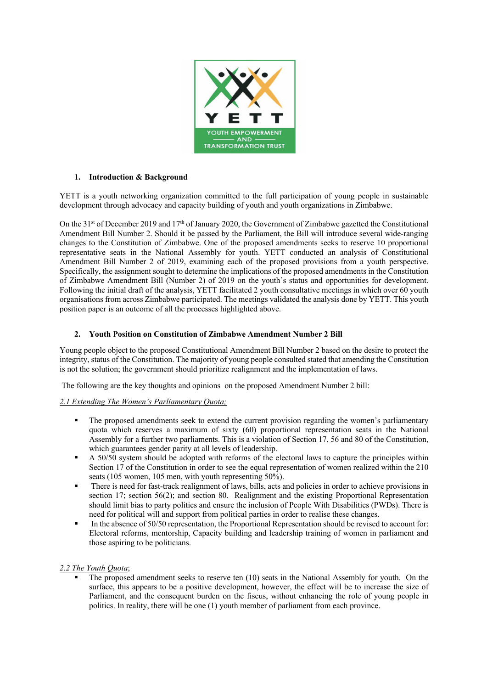

### **1. Introduction & Background**

YETT is a youth networking organization committed to the full participation of young people in sustainable development through advocacy and capacity building of youth and youth organizations in Zimbabwe.

On the 31<sup>st</sup> of December 2019 and 17<sup>th</sup> of January 2020, the Government of Zimbabwe gazetted the Constitutional Amendment Bill Number 2. Should it be passed by the Parliament, the Bill will introduce several wide-ranging changes to the Constitution of Zimbabwe. One of the proposed amendments seeks to reserve 10 proportional representative seats in the National Assembly for youth. YETT conducted an analysis of Constitutional Amendment Bill Number 2 of 2019, examining each of the proposed provisions from a youth perspective. Specifically, the assignment sought to determine the implications of the proposed amendments in the Constitution of Zimbabwe Amendment Bill (Number 2) of 2019 on the youth's status and opportunities for development. Following the initial draft of the analysis, YETT facilitated 2 youth consultative meetings in which over 60 youth organisations from across Zimbabwe participated. The meetings validated the analysis done by YETT. This youth position paper is an outcome of all the processes highlighted above.

### **2. Youth Position on Constitution of Zimbabwe Amendment Number 2 Bill**

Young people object to the proposed Constitutional Amendment Bill Number 2 based on the desire to protect the integrity, status of the Constitution. The majority of young people consulted stated that amending the Constitution is not the solution; the government should prioritize realignment and the implementation of laws.

The following are the key thoughts and opinions on the proposed Amendment Number 2 bill:

## *2.1 Extending The Women's Parliamentary Quota;*

- The proposed amendments seek to extend the current provision regarding the women's parliamentary quota which reserves a maximum of sixty (60) proportional representation seats in the National Assembly for a further two parliaments. This is a violation of Section 17, 56 and 80 of the Constitution, which guarantees gender parity at all levels of leadership.
- § A 50/50 system should be adopted with reforms of the electoral laws to capture the principles within Section 17 of the Constitution in order to see the equal representation of women realized within the 210 seats (105 women, 105 men, with youth representing 50%).
- There is need for fast-track realignment of laws, bills, acts and policies in order to achieve provisions in section 17; section 56(2); and section 80. Realignment and the existing Proportional Representation should limit bias to party politics and ensure the inclusion of People With Disabilities (PWDs). There is need for political will and support from political parties in order to realise these changes.
- In the absence of 50/50 representation, the Proportional Representation should be revised to account for: Electoral reforms, mentorship, Capacity building and leadership training of women in parliament and those aspiring to be politicians.

## *2.2 The Youth Quota*;

The proposed amendment seeks to reserve ten (10) seats in the National Assembly for youth. On the surface, this appears to be a positive development, however, the effect will be to increase the size of Parliament, and the consequent burden on the fiscus, without enhancing the role of young people in politics. In reality, there will be one (1) youth member of parliament from each province.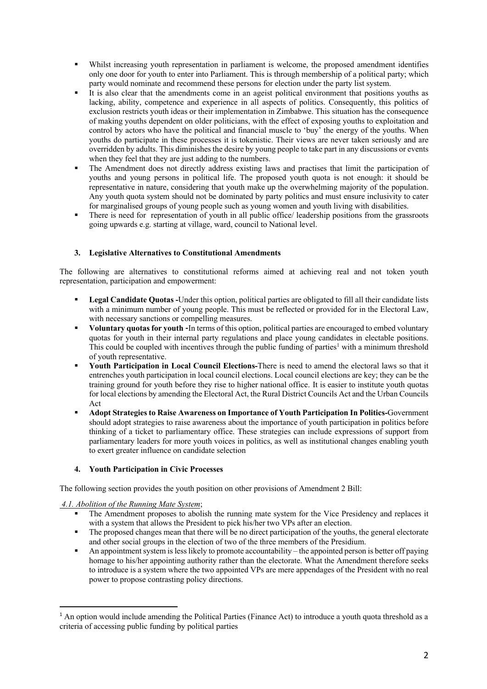- Whilst increasing youth representation in parliament is welcome, the proposed amendment identifies only one door for youth to enter into Parliament. This is through membership of a political party; which party would nominate and recommend these persons for election under the party list system.
- It is also clear that the amendments come in an ageist political environment that positions youths as lacking, ability, competence and experience in all aspects of politics. Consequently, this politics of exclusion restricts youth ideas or their implementation in Zimbabwe. This situation has the consequence of making youths dependent on older politicians, with the effect of exposing youths to exploitation and control by actors who have the political and financial muscle to 'buy' the energy of the youths. When youths do participate in these processes it is tokenistic. Their views are never taken seriously and are overridden by adults. This diminishes the desire by young people to take part in any discussions or events when they feel that they are just adding to the numbers.
- The Amendment does not directly address existing laws and practises that limit the participation of youths and young persons in political life. The proposed youth quota is not enough: it should be representative in nature, considering that youth make up the overwhelming majority of the population. Any youth quota system should not be dominated by party politics and must ensure inclusivity to cater for marginalised groups of young people such as young women and youth living with disabilities.
- There is need for representation of youth in all public office/ leadership positions from the grassroots going upwards e.g. starting at village, ward, council to National level.

# **3. Legislative Alternatives to Constitutional Amendments**

The following are alternatives to constitutional reforms aimed at achieving real and not token youth representation, participation and empowerment:

- § **Legal Candidate Quotas -**Under this option, political parties are obligated to fill all their candidate lists with a minimum number of young people. This must be reflected or provided for in the Electoral Law, with necessary sanctions or compelling measures.
- § **Voluntary quotas for youth -**In terms of this option, political parties are encouraged to embed voluntary quotas for youth in their internal party regulations and place young candidates in electable positions. This could be coupled with incentives through the public funding of parties<sup>1</sup> with a minimum threshold of youth representative.
- § **Youth Participation in Local Council Elections-**There is need to amend the electoral laws so that it entrenches youth participation in local council elections. Local council elections are key; they can be the training ground for youth before they rise to higher national office. It is easier to institute youth quotas for local elections by amending the Electoral Act, the Rural District Councils Act and the Urban Councils Act
- § **Adopt Strategies to Raise Awareness on Importance of Youth Participation In Politics-**Government should adopt strategies to raise awareness about the importance of youth participation in politics before thinking of a ticket to parliamentary office. These strategies can include expressions of support from parliamentary leaders for more youth voices in politics, as well as institutional changes enabling youth to exert greater influence on candidate selection

## **4. Youth Participation in Civic Processes**

The following section provides the youth position on other provisions of Amendment 2 Bill:

## *4.1. Abolition of the Running Mate System*;

- The Amendment proposes to abolish the running mate system for the Vice Presidency and replaces it with a system that allows the President to pick his/her two VPs after an election.
- The proposed changes mean that there will be no direct participation of the youths, the general electorate and other social groups in the election of two of the three members of the Presidium.
- § An appointment system is less likely to promote accountability the appointed person is better off paying homage to his/her appointing authority rather than the electorate. What the Amendment therefore seeks to introduce is a system where the two appointed VPs are mere appendages of the President with no real power to propose contrasting policy directions.

<sup>&</sup>lt;sup>1</sup> An option would include amending the Political Parties (Finance Act) to introduce a youth quota threshold as a criteria of accessing public funding by political parties